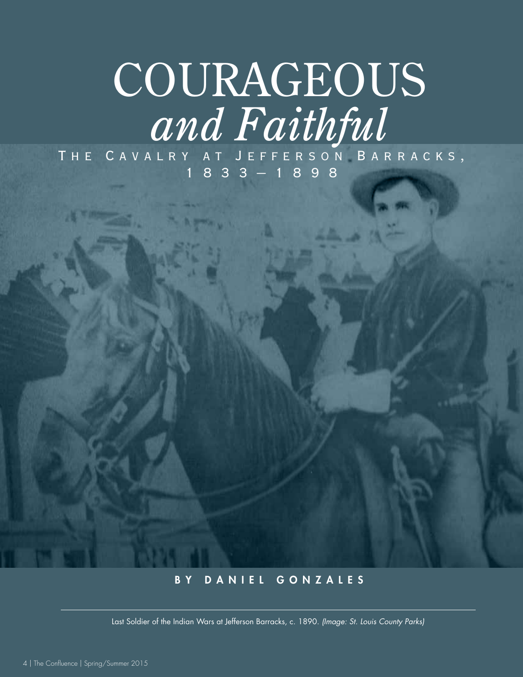# **COURAGEOUS** *and Faithful*

The Cavalry at Jefferson Barracks, 1833–1898

## BY DANIEL GONZALES

Last Soldier of the Indian Wars at Jefferson Barracks, c. 1890. *(Image: St. Louis County Parks)*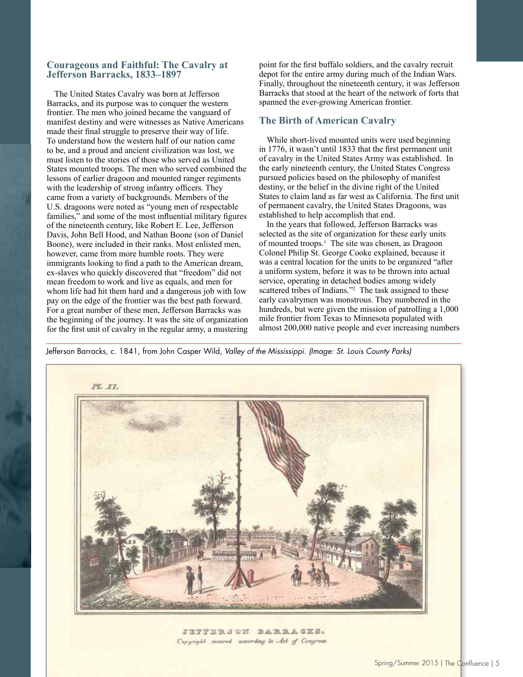#### **Courageous and Faithful: The Cavalry at Jefferson Barracks, 1833–1897**

The United States Cavalry was born at Jefferson Barracks, and its purpose was to conquer the western frontier. The men who joined became the vanguard of manifest destiny and were witnesses as Native Americans made their final struggle to preserve their way of life. To understand how the western half of our nation came to be, and a proud and ancient civilization was lost, we must listen to the stories of those who served as United States mounted troops. The men who served combined the lessons of earlier dragoon and mounted ranger regiments with the leadership of strong infantry officers. They came from a variety of backgrounds. Members of the U.S. dragoons were noted as "young men of respectable families," and some of the most influential military figures of the nineteenth century, like Robert E. Lee, Jefferson Davis, John Bell Hood, and Nathan Boone (son of Daniel Boone), were included in their ranks. Most enlisted men, however, came from more humble roots. They were immigrants looking to find a path to the American dream, ex-slaves who quickly discovered that "freedom" did not mean freedom to work and live as equals, and men for whom life had hit them hard and a dangerous job with low pay on the edge of the frontier was the best path forward. For a great number of these men, Jefferson Barracks was the beginning of the journey. It was the site of organization for the first unit of cavalry in the regular army, a mustering point for the first buffalo soldiers, and the cavalry recruit depot for the entire army during much of the Indian Wars. Finally, throughout the nineteenth century, it was Jefferson Barracks that stood at the heart of the network of forts that spanned the ever-growing American frontier.

### **The Birth of American Cavalry**

While short-lived mounted units were used beginning in 1776, it wasn't until 1833 that the first permanent unit of cavalry in the United States Army was established. In the early nineteenth century, the United States Congress pursued policies based on the philosophy of manifest destiny, or the belief in the divine right of the United States to claim land as far west as California. The first unit of permanent cavalry, the United States Dragoons, was established to help accomplish that end.

In the years that followed, Jefferson Barracks was selected as the site of organization for these early units of mounted troops.<sup>1</sup> The site was chosen, as Dragoon Colonel Philip St. George Cooke explained, because it was a central location for the units to be organized "after a uniform system, before it was to be thrown into actual service, operating in detached bodies among widely scattered tribes of Indians."<sup>2</sup> The task assigned to these early cavalrymen was monstrous. They numbered in the hundreds, but were given the mission of patrolling a 1,000 mile frontier from Texas to Minnesota populated with almost 200,000 native people and ever increasing numbers

Jefferson Barracks, c. 1841, from John Casper Wild, *Valley of the Mississippi*. *(Image: St. Louis County Parks)*



JETFERS DY BARRACKS. Copyright secured according to Act of Congress.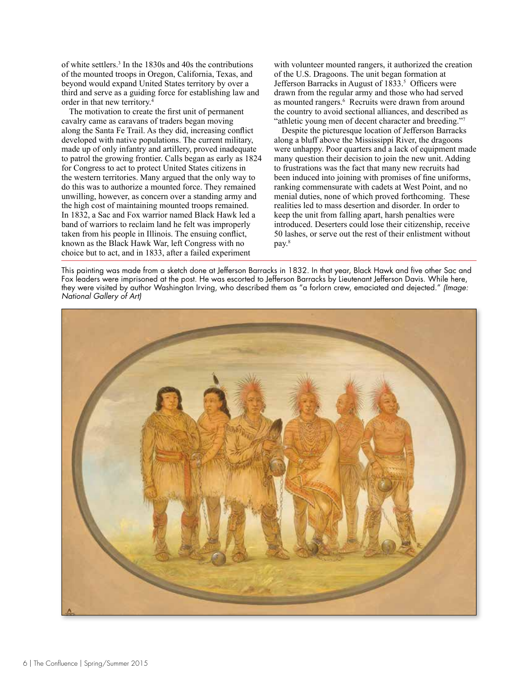of white settlers.3 In the 1830s and 40s the contributions of the mounted troops in Oregon, California, Texas, and beyond would expand United States territory by over a third and serve as a guiding force for establishing law and order in that new territory.4

The motivation to create the first unit of permanent cavalry came as caravans of traders began moving along the Santa Fe Trail. As they did, increasing conflict developed with native populations. The current military, made up of only infantry and artillery, proved inadequate to patrol the growing frontier. Calls began as early as 1824 for Congress to act to protect United States citizens in the western territories. Many argued that the only way to do this was to authorize a mounted force. They remained unwilling, however, as concern over a standing army and the high cost of maintaining mounted troops remained. In 1832, a Sac and Fox warrior named Black Hawk led a band of warriors to reclaim land he felt was improperly taken from his people in Illinois. The ensuing conflict, known as the Black Hawk War, left Congress with no choice but to act, and in 1833, after a failed experiment

with volunteer mounted rangers, it authorized the creation of the U.S. Dragoons. The unit began formation at Jefferson Barracks in August of 1833.<sup>5</sup> Officers were drawn from the regular army and those who had served as mounted rangers.<sup>6</sup> Recruits were drawn from around the country to avoid sectional alliances, and described as "athletic young men of decent character and breeding."7

Despite the picturesque location of Jefferson Barracks along a bluff above the Mississippi River, the dragoons were unhappy. Poor quarters and a lack of equipment made many question their decision to join the new unit. Adding to frustrations was the fact that many new recruits had been induced into joining with promises of fine uniforms, ranking commensurate with cadets at West Point, and no menial duties, none of which proved forthcoming. These realities led to mass desertion and disorder. In order to keep the unit from falling apart, harsh penalties were introduced. Deserters could lose their citizenship, receive 50 lashes, or serve out the rest of their enlistment without pay.<sup>8</sup>

This painting was made from a sketch done at Jefferson Barracks in 1832. In that year, Black Hawk and five other Sac and Fox leaders were imprisoned at the post. He was escorted to Jefferson Barracks by Lieutenant Jefferson Davis. While here, they were visited by author Washington Irving, who described them as "a forlorn crew, emaciated and dejected." *(Image: National Gallery of Art)*

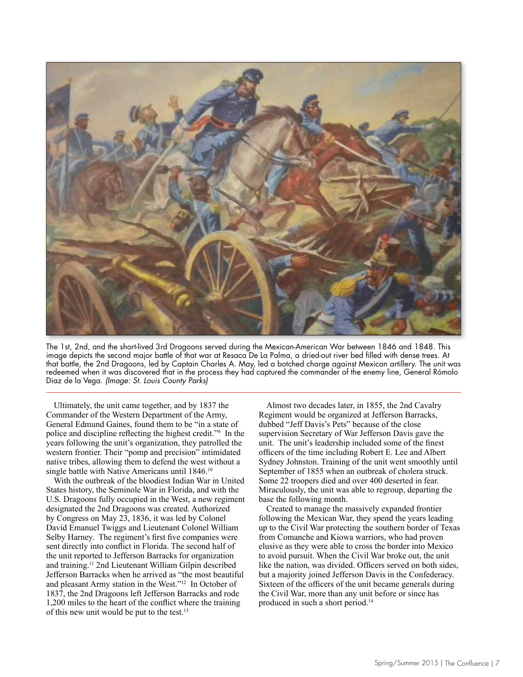

The 1st, 2nd, and the short-lived 3rd Dragoons served during the Mexican-American War between 1846 and 1848. This image depicts the second major battle of that war at Resaca De La Palma, a dried-out river bed filled with dense trees. At that battle, the 2nd Dragoons, led by Captain Charles A. May, led a botched charge against Mexican artillery. The unit was redeemed when it was discovered that in the process they had captured the commander of the enemy line, General Rómolo Diaz de la Vega. *(Image: St. Louis County Parks)*

Ultimately, the unit came together, and by 1837 the Commander of the Western Department of the Army, General Edmund Gaines, found them to be "in a state of police and discipline reflecting the highest credit."<sup>9</sup> In the years following the unit's organization, they patrolled the western frontier. Their "pomp and precision" intimidated native tribes, allowing them to defend the west without a single battle with Native Americans until 1846.<sup>10</sup>

With the outbreak of the bloodiest Indian War in United States history, the Seminole War in Florida, and with the U.S. Dragoons fully occupied in the West, a new regiment designated the 2nd Dragoons was created. Authorized by Congress on May 23, 1836, it was led by Colonel David Emanuel Twiggs and Lieutenant Colonel William Selby Harney. The regiment's first five companies were sent directly into conflict in Florida. The second half of the unit reported to Jefferson Barracks for organization and training.11 2nd Lieutenant William Gilpin described Jefferson Barracks when he arrived as "the most beautiful and pleasant Army station in the West."12 In October of 1837, the 2nd Dragoons left Jefferson Barracks and rode 1,200 miles to the heart of the conflict where the training of this new unit would be put to the test.<sup>13</sup>

Almost two decades later, in 1855, the 2nd Cavalry Regiment would be organized at Jefferson Barracks, dubbed "Jeff Davis's Pets" because of the close supervision Secretary of War Jefferson Davis gave the unit. The unit's leadership included some of the finest officers of the time including Robert E. Lee and Albert Sydney Johnston. Training of the unit went smoothly until September of 1855 when an outbreak of cholera struck. Some 22 troopers died and over 400 deserted in fear. Miraculously, the unit was able to regroup, departing the base the following month.

Created to manage the massively expanded frontier following the Mexican War, they spend the years leading up to the Civil War protecting the southern border of Texas from Comanche and Kiowa warriors, who had proven elusive as they were able to cross the border into Mexico to avoid pursuit. When the Civil War broke out, the unit like the nation, was divided. Officers served on both sides, but a majority joined Jefferson Davis in the Confederacy. Sixteen of the officers of the unit became generals during the Civil War, more than any unit before or since has produced in such a short period.<sup>14</sup>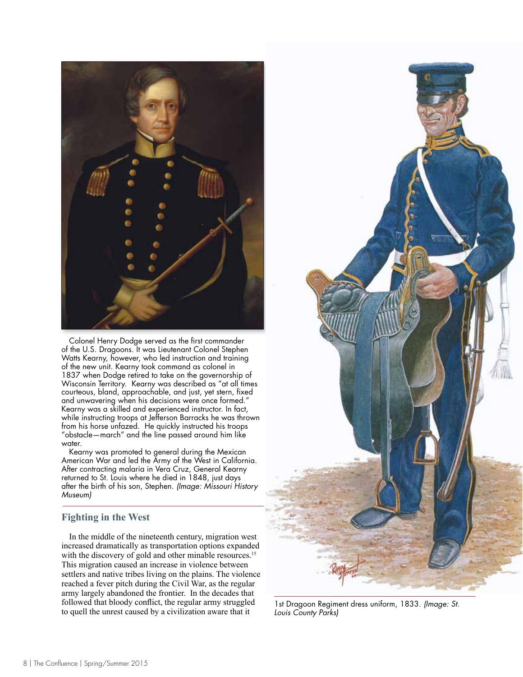

Colonel Henry Dodge served as the first commander of the U.S. Dragoons. It was Lieutenant Colonel Stephen Watts Kearny, however, who led instruction and training of the new unit. Kearny took command as colonel in 1837 when Dodge retired to take on the governorship of Wisconsin Territory. Kearny was described as "at all times courteous, bland, approachable, and just, yet stern, fixed and unwavering when his decisions were once formed." Kearny was a skilled and experienced instructor. In fact, while instructing troops at Jefferson Barracks he was thrown from his horse unfazed. He quickly instructed his troops "obstacle—march" and the line passed around him like water.

Kearny was promoted to general during the Mexican American War and led the Army of the West in California. After contracting malaria in Vera Cruz, General Kearny returned to St. Louis where he died in 1848, just days after the birth of his son, Stephen. *(Image: Missouri History Museum)*

## **Fighting in the West**

In the middle of the nineteenth century, migration west increased dramatically as transportation options expanded with the discovery of gold and other minable resources.<sup>15</sup> This migration caused an increase in violence between settlers and native tribes living on the plains. The violence reached a fever pitch during the Civil War, as the regular army largely abandoned the frontier. In the decades that followed that bloody conflict, the regular army struggled to quell the unrest caused by a civilization aware that it



1st Dragoon Regiment dress uniform, 1833. *(Image: St. Louis County Parks)*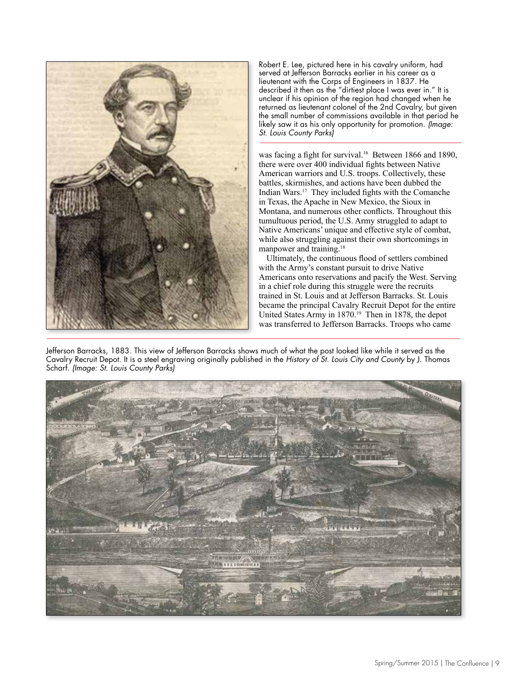

Robert E. Lee, pictured here in his cavalry uniform, had served at Jefferson Barracks earlier in his career as a lieutenant with the Corps of Engineers in 1837. He described it then as the "dirtiest place I was ever in." It is unclear if his opinion of the region had changed when he returned as lieutenant colonel of the 2nd Cavalry, but given the small number of commissions available in that period he likely saw it as his only opportunity for promotion. *(Image: St. Louis County Parks)*

was facing a fight for survival.<sup>16</sup> Between 1866 and 1890, there were over 400 individual fights between Native American warriors and U.S. troops. Collectively, these battles, skirmishes, and actions have been dubbed the Indian Wars.17 They included fights with the Comanche in Texas, the Apache in New Mexico, the Sioux in Montana, and numerous other conflicts. Throughout this tumultuous period, the U.S. Army struggled to adapt to Native Americans' unique and effective style of combat, while also struggling against their own shortcomings in manpower and training.<sup>18</sup>

Ultimately, the continuous flood of settlers combined with the Army's constant pursuit to drive Native Americans onto reservations and pacify the West. Serving in a chief role during this struggle were the recruits trained in St. Louis and at Jefferson Barracks. St. Louis became the principal Cavalry Recruit Depot for the entire United States Army in 1870.<sup>19</sup> Then in 1878, the depot was transferred to Jefferson Barracks. Troops who came

Jefferson Barracks, 1883. This view of Jefferson Barracks shows much of what the post looked like while it served as the Cavalry Recruit Depot. It is a steel engraving originally published in the *History of St. Louis City and County* by J. Thomas Scharf. *(Image: St. Louis County Parks)*

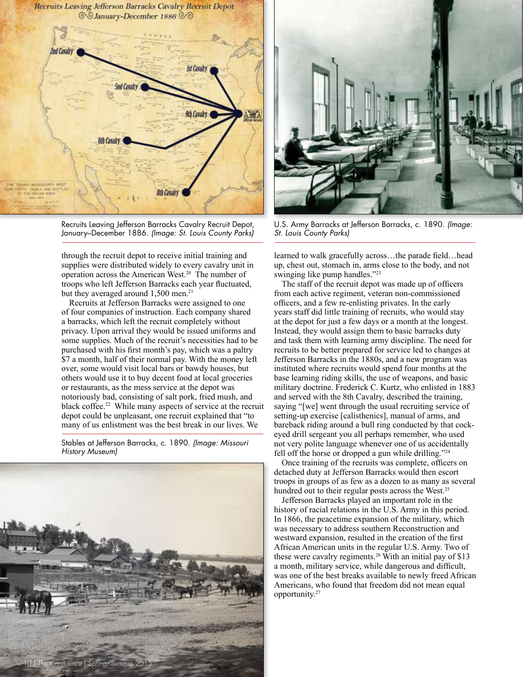

Recruits Leaving Jefferson Barracks Cavalry Recruit Depot, January–December 1886. *(Image: St. Louis County Parks)*

through the recruit depot to receive initial training and supplies were distributed widely to every cavalry unit in operation across the American West.<sup>20</sup> The number of troops who left Jefferson Barracks each year fluctuated, but they averaged around  $1,500$  men.<sup>21</sup>

Recruits at Jefferson Barracks were assigned to one of four companies of instruction. Each company shared a barracks, which left the recruit completely without privacy. Upon arrival they would be issued uniforms and some supplies. Much of the recruit's necessities had to be purchased with his first month's pay, which was a paltry \$7 a month, half of their normal pay. With the money left over, some would visit local bars or bawdy houses, but others would use it to buy decent food at local groceries or restaurants, as the mess service at the depot was notoriously bad, consisting of salt pork, fried mush, and black coffee.<sup>22</sup> While many aspects of service at the recruit depot could be unpleasant, one recruit explained that "to many of us enlistment was the best break in our lives. We

Stables at Jefferson Barracks, c. 1890. *(Image: Missouri History Museum)*





U.S. Army Barracks at Jefferson Barracks, c. 1890. *(Image: St. Louis County Parks)*

learned to walk gracefully across…the parade field…head up, chest out, stomach in, arms close to the body, and not swinging like pump handles."23

The staff of the recruit depot was made up of officers from each active regiment, veteran non-commissioned officers, and a few re-enlisting privates. In the early years staff did little training of recruits, who would stay at the depot for just a few days or a month at the longest. Instead, they would assign them to basic barracks duty and task them with learning army discipline. The need for recruits to be better prepared for service led to changes at Jefferson Barracks in the 1880s, and a new program was instituted where recruits would spend four months at the base learning riding skills, the use of weapons, and basic military doctrine. Frederick C. Kurtz, who enlisted in 1883 and served with the 8th Cavalry, described the training, saying "[we] went through the usual recruiting service of setting-up exercise [calisthenics], manual of arms, and bareback riding around a bull ring conducted by that cockeyed drill sergeant you all perhaps remember, who used not very polite language whenever one of us accidentally fell off the horse or dropped a gun while drilling."24

Once training of the recruits was complete, officers on detached duty at Jefferson Barracks would then escort troops in groups of as few as a dozen to as many as several hundred out to their regular posts across the West.<sup>25</sup>

Jefferson Barracks played an important role in the history of racial relations in the U.S. Army in this period. In 1866, the peacetime expansion of the military, which was necessary to address southern Reconstruction and westward expansion, resulted in the creation of the first African American units in the regular U.S. Army. Two of these were cavalry regiments.<sup>26</sup> With an initial pay of \$13 a month, military service, while dangerous and difficult, was one of the best breaks available to newly freed African Americans, who found that freedom did not mean equal opportunity.<sup>27</sup>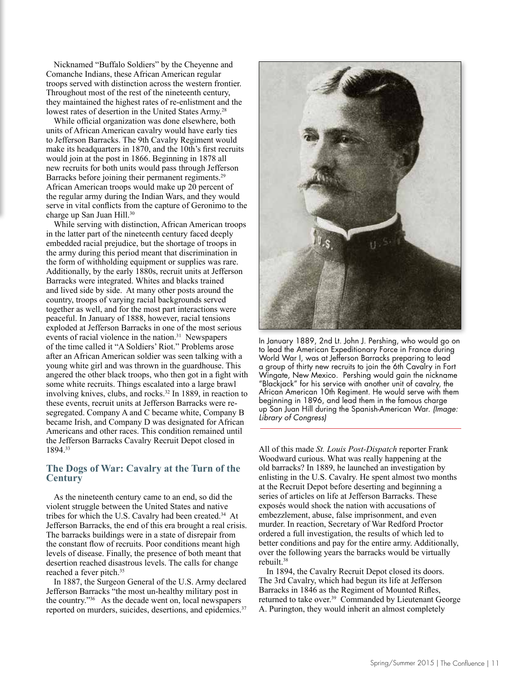Nicknamed "Buffalo Soldiers" by the Cheyenne and Comanche Indians, these African American regular troops served with distinction across the western frontier. Throughout most of the rest of the nineteenth century, they maintained the highest rates of re-enlistment and the lowest rates of desertion in the United States Army.<sup>28</sup>

While official organization was done elsewhere, both units of African American cavalry would have early ties to Jefferson Barracks. The 9th Cavalry Regiment would make its headquarters in 1870, and the 10th's first recruits would join at the post in 1866. Beginning in 1878 all new recruits for both units would pass through Jefferson Barracks before joining their permanent regiments.29 African American troops would make up 20 percent of the regular army during the Indian Wars, and they would serve in vital conflicts from the capture of Geronimo to the charge up San Juan Hill.<sup>30</sup>

While serving with distinction, African American troops in the latter part of the nineteenth century faced deeply embedded racial prejudice, but the shortage of troops in the army during this period meant that discrimination in the form of withholding equipment or supplies was rare. Additionally, by the early 1880s, recruit units at Jefferson Barracks were integrated. Whites and blacks trained and lived side by side. At many other posts around the country, troops of varying racial backgrounds served together as well, and for the most part interactions were peaceful. In January of 1888, however, racial tensions exploded at Jefferson Barracks in one of the most serious events of racial violence in the nation.<sup>31</sup> Newspapers of the time called it "A Soldiers' Riot." Problems arose after an African American soldier was seen talking with a young white girl and was thrown in the guardhouse. This angered the other black troops, who then got in a fight with some white recruits. Things escalated into a large brawl involving knives, clubs, and rocks.<sup>32</sup> In 1889, in reaction to these events, recruit units at Jefferson Barracks were resegregated. Company A and C became white, Company B became Irish, and Company D was designated for African Americans and other races. This condition remained until the Jefferson Barracks Cavalry Recruit Depot closed in 1894.33

## **The Dogs of War: Cavalry at the Turn of the Century**

As the nineteenth century came to an end, so did the violent struggle between the United States and native tribes for which the U.S. Cavalry had been created.<sup>34</sup> At Jefferson Barracks, the end of this era brought a real crisis. The barracks buildings were in a state of disrepair from the constant flow of recruits. Poor conditions meant high levels of disease. Finally, the presence of both meant that desertion reached disastrous levels. The calls for change reached a fever pitch.<sup>35</sup>

In 1887, the Surgeon General of the U.S. Army declared Jefferson Barracks "the most un-healthy military post in the country."<sup>36</sup> As the decade went on, local newspapers reported on murders, suicides, desertions, and epidemics.<sup>37</sup>



In January 1889, 2nd Lt. John J. Pershing, who would go on to lead the American Expeditionary Force in France during World War I, was at Jefferson Barracks preparing to lead a group of thirty new recruits to join the 6th Cavalry in Fort Wingate, New Mexico. Pershing would gain the nickname "Blackjack" for his service with another unit of cavalry, the African American 10th Regiment. He would serve with them beginning in 1896, and lead them in the famous charge up San Juan Hill during the Spanish-American War. *(Image: Library of Congress)*

All of this made *St. Louis Post-Dispatch* reporter Frank Woodward curious. What was really happening at the old barracks? In 1889, he launched an investigation by enlisting in the U.S. Cavalry. He spent almost two months at the Recruit Depot before deserting and beginning a series of articles on life at Jefferson Barracks. These exposés would shock the nation with accusations of embezzlement, abuse, false imprisonment, and even murder. In reaction, Secretary of War Redford Proctor ordered a full investigation, the results of which led to better conditions and pay for the entire army. Additionally, over the following years the barracks would be virtually rebuilt.<sup>38</sup>

In 1894, the Cavalry Recruit Depot closed its doors. The 3rd Cavalry, which had begun its life at Jefferson Barracks in 1846 as the Regiment of Mounted Rifles, returned to take over.<sup>39</sup> Commanded by Lieutenant George A. Purington, they would inherit an almost completely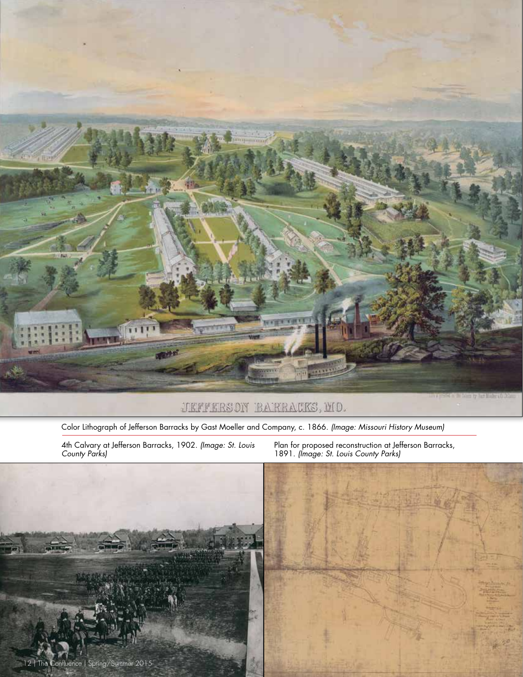

JEFFERSON BARRACKS, MO.

Color Lithograph of Jefferson Barracks by Gast Moeller and Company, c. 1866. *(Image: Missouri History Museum)*

4th Calvary at Jefferson Barracks, 1902. *(Image: St. Louis County Parks)*

Plan for proposed reconstruction at Jefferson Barracks, 1891. *(Image: St. Louis County Parks)*

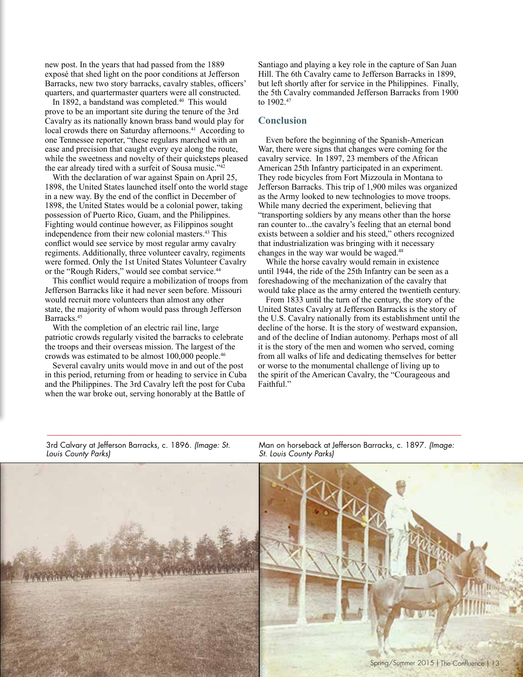new post. In the years that had passed from the 1889 exposé that shed light on the poor conditions at Jefferson Barracks, new two story barracks, cavalry stables, officers' quarters, and quartermaster quarters were all constructed.

In 1892, a bandstand was completed.<sup>40</sup> This would prove to be an important site during the tenure of the 3rd Cavalry as its nationally known brass band would play for local crowds there on Saturday afternoons.<sup>41</sup> According to one Tennessee reporter, "these regulars marched with an ease and precision that caught every eye along the route, while the sweetness and novelty of their quicksteps pleased the ear already tired with a surfeit of Sousa music."<sup>42</sup>

With the declaration of war against Spain on April 25, 1898, the United States launched itself onto the world stage in a new way. By the end of the conflict in December of 1898, the United States would be a colonial power, taking possession of Puerto Rico, Guam, and the Philippines. Fighting would continue however, as Filippinos sought independence from their new colonial masters.<sup>43</sup> This conflict would see service by most regular army cavalry regiments. Additionally, three volunteer cavalry, regiments were formed. Only the 1st United States Volunteer Cavalry or the "Rough Riders," would see combat service.<sup>44</sup>

This conflict would require a mobilization of troops from Jefferson Barracks like it had never seen before. Missouri would recruit more volunteers than almost any other state, the majority of whom would pass through Jefferson Barracks.45

With the completion of an electric rail line, large patriotic crowds regularly visited the barracks to celebrate the troops and their overseas mission. The largest of the crowds was estimated to be almost 100,000 people.46

Several cavalry units would move in and out of the post in this period, returning from or heading to service in Cuba and the Philippines. The 3rd Cavalry left the post for Cuba when the war broke out, serving honorably at the Battle of

3rd Calvary at Jefferson Barracks, c. 1896. *(Image: St.* 

*Louis County Parks)*

Santiago and playing a key role in the capture of San Juan Hill. The 6th Cavalry came to Jefferson Barracks in 1899, but left shortly after for service in the Philippines. Finally, the 5th Cavalry commanded Jefferson Barracks from 1900 to 1902.<sup>47</sup>

#### **Conclusion**

Even before the beginning of the Spanish-American War, there were signs that changes were coming for the cavalry service. In 1897, 23 members of the African American 25th Infantry participated in an experiment. They rode bicycles from Fort Mizzoula in Montana to Jefferson Barracks. This trip of 1,900 miles was organized as the Army looked to new technologies to move troops. While many decried the experiment, believing that "transporting soldiers by any means other than the horse ran counter to...the cavalry's feeling that an eternal bond exists between a soldier and his steed," others recognized that industrialization was bringing with it necessary changes in the way war would be waged.<sup>48</sup>

While the horse cavalry would remain in existence until 1944, the ride of the 25th Infantry can be seen as a foreshadowing of the mechanization of the cavalry that would take place as the army entered the twentieth century.

From 1833 until the turn of the century, the story of the United States Cavalry at Jefferson Barracks is the story of the U.S. Cavalry nationally from its establishment until the decline of the horse. It is the story of westward expansion, and of the decline of Indian autonomy. Perhaps most of all it is the story of the men and women who served, coming from all walks of life and dedicating themselves for better or worse to the monumental challenge of living up to the spirit of the American Cavalry, the "Courageous and Faithful."



Man on horseback at Jefferson Barracks, c. 1897. *(Image: St. Louis County Parks)*

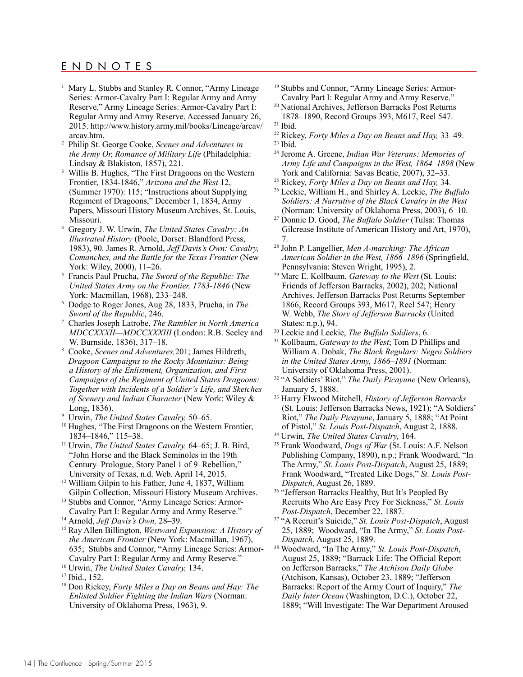## ENDNOTES

- <sup>1</sup> Mary L. Stubbs and Stanley R. Connor, "Army Lineage Series: Armor-Cavalry Part I: Regular Army and Army Reserve," Army Lineage Series: Armor-Cavalry Part I: Regular Army and Army Reserve. Accessed January 26, 2015. http://www.history.army.mil/books/Lineage/arcav/ arcav.htm.
- <sup>2</sup> Philip St. George Cooke, *Scenes and Adventures in the Army Or, Romance of Military Life* (Philadelphia: Lindsay & Blakiston, 1857), 221.
- Willis B. Hughes, "The First Dragoons on the Western Frontier, 1834-1846," *Arizona and the West* 12, (Summer 1970): 115; "Instructions about Supplying Regiment of Dragoons," December 1, 1834, Army Papers, Missouri History Museum Archives, St. Louis, Missouri.
- <sup>4</sup> Gregory J. W. Urwin, *The United States Cavalry: An Illustrated History* (Poole, Dorset: Blandford Press, 1983), 90. James R. Arnold, *Jeff Davis's Own: Cavalry, Comanches, and the Battle for the Texas Frontier* (New York: Wiley, 2000), 11–26.
- <sup>5</sup> Francis Paul Prucha, *The Sword of the Republic: The United States Army on the Frontier, 1783-1846* (New York: Macmillan, 1968), 233–248.
- <sup>6</sup> Dodge to Roger Jones, Aug 28, 1833, Prucha, in *The Sword of the Republic*, 246.
- <sup>7</sup> Charles Joseph Latrobe, *The Rambler in North America MDCCXXXII—MDCCXXXIII* (London: R.B. Seeley and W. Burnside, 1836), 317–18. 8 Cooke, *Scenes and Adventures,*201; James Hildreth,
- *Dragoon Campaigns to the Rocky Mountains: Being a History of the Enlistment, Organization, and First Campaigns of the Regiment of United States Dragoons: Together with Incidents of a Soldier's Life, and Sketches of Scenery and Indian Character* (New York: Wiley & Long, 1836).
- <sup>9</sup> Urwin, *The United States Cavalry,* 50–65.
- <sup>10</sup> Hughes, "The First Dragoons on the Western Frontier, 1834–1846," 115–38.
- <sup>11</sup> Urwin, *The United States Cavalry,* 64–65; J. B. Bird, "John Horse and the Black Seminoles in the 19th Century–Prologue, Story Panel 1 of 9–Rebellion," University of Texas, n.d. Web. April 14, 2015.
- <sup>12</sup> William Gilpin to his Father, June 4, 1837, William Gilpin Collection, Missouri History Museum Archives.
- <sup>13</sup> Stubbs and Connor, "Army Lineage Series: Armor-Cavalry Part I: Regular Army and Army Reserve."
- <sup>14</sup> Arnold, *Jeff Davis's Own,* 28–39.
- <sup>15</sup> Ray Allen Billington, *Westward Expansion: A History of the American Frontier* (New York: Macmillan, 1967), 635; Stubbs and Connor, "Army Lineage Series: Armor-Cavalry Part I: Regular Army and Army Reserve."
- <sup>16</sup> Urwin, *The United States Cavalry,* 134.
- <sup>17</sup> Ibid., 152.
- <sup>18</sup> Don Rickey, *Forty Miles a Day on Beans and Hay: The Enlisted Soldier Fighting the Indian Wars* (Norman: University of Oklahoma Press, 1963), 9.
- <sup>19</sup> Stubbs and Connor, "Army Lineage Series: Armor-Cavalry Part I: Regular Army and Army Reserve."
- <sup>20</sup> National Archives, Jefferson Barracks Post Returns 1878–1890, Record Groups 393, M617, Reel 547. <sup>21</sup> Ibid.
- <sup>22</sup> Rickey, *Forty Miles a Day on Beans and Hay,* 33–49.
- $23$  Ibid.
- <sup>24</sup> Jerome A. Greene, *Indian War Veterans: Memories of Army Life and Campaigns in the West, 1864–1898* (New York and California: Savas Beatie, 2007), 32–33.
- <sup>25</sup> Rickey, *Forty Miles a Day on Beans and Hay,* 34.
- <sup>26</sup> Leckie, William H., and Shirley A. Leckie, *The Buffalo Soldiers: A Narrative of the Black Cavalry in the West* (Norman: University of Oklahoma Press, 2003), 6–10.
- <sup>27</sup> Donnie D. Good, *The Buffalo Soldier* (Tulsa: Thomas Gilcrease Institute of American History and Art, 1970), 7.
- <sup>28</sup> John P. Langellier, *Men A-marching: The African American Soldier in the West, 1866–1896* (Springfield, Pennsylvania: Steven Wright, 1995), 2.
- <sup>29</sup> Marc E. Kollbaum, *Gateway to the West* (St. Louis: Friends of Jefferson Barracks, 2002), 202; National Archives, Jefferson Barracks Post Returns September 1866, Record Groups 393, M617, Reel 547; Henry W. Webb, *The Story of Jefferson Barracks* (United States: n.p.), 94.
- <sup>30</sup> Leckie and Leckie, *The Buffalo Soldiers*, 6.
- <sup>31</sup> Kollbaum, *Gateway to the West*; Tom D Phillips and William A. Dobak, *The Black Regulars: Negro Soldiers in the United States Army, 1866–1891* (Norman: University of Oklahoma Press, 2001).
- <sup>32</sup> "A Soldiers' Riot," *The Daily Picayune* (New Orleans), January 5, 1888.
- <sup>33</sup> Harry Elwood Mitchell, *History of Jefferson Barracks* (St. Louis: Jefferson Barracks News, 1921); "A Soldiers' Riot," *The Daily Picayune*, January 5, 1888; "At Point of Pistol," *St. Louis Post-Dispatch*, August 2, 1888.
- <sup>34</sup> Urwin, *The United States Cavalry,* 164.
- <sup>35</sup> Frank Woodward, *Dogs of War* (St. Louis: A.F. Nelson Publishing Company, 1890), n.p.; Frank Woodward, "In The Army," *St. Louis Post-Dispatch*, August 25, 1889; Frank Woodward, "Treated Like Dogs," *St. Louis Post-Dispatch*, August 26, 1889.
- <sup>36</sup> "Jefferson Barracks Healthy, But It's Peopled By Recruits Who Are Easy Prey For Sickness," *St. Louis Post-Dispatch*, December 22, 1887.
- <sup>37</sup> "A Recruit's Suicide," *St. Louis Post-Dispatch*, August 25, 1889; Woodward, "In The Army," *St. Louis Post-Dispatch*, August 25, 1889.
- <sup>38</sup> Woodward, "In The Army," *St. Louis Post-Dispatch*, August 25, 1889; "Barrack Life: The Official Report on Jefferson Barracks," *The Atchison Daily Globe* (Atchison, Kansas), October 23, 1889; "Jefferson Barracks: Report of the Army Court of Inquiry," *The Daily Inter Ocean* (Washington, D.C.), October 22, 1889; "Will Investigate: The War Department Aroused